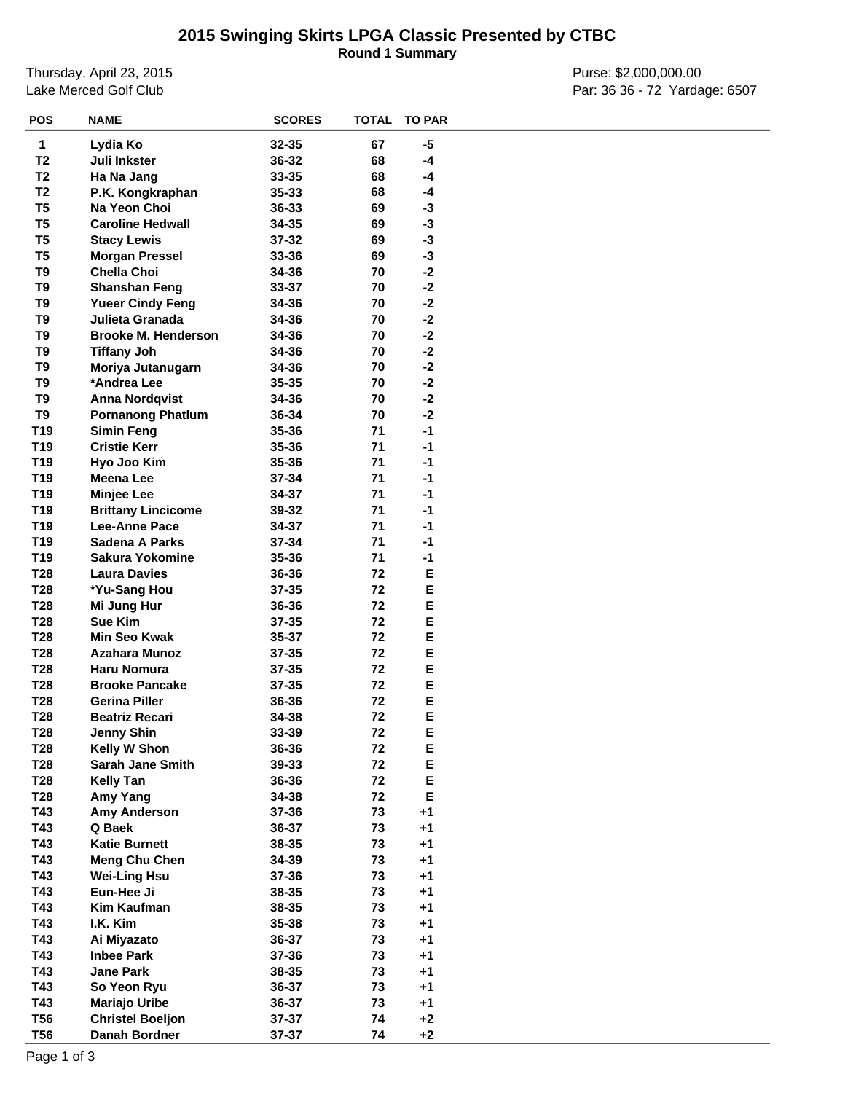## **2015 Swinging Skirts LPGA Classic Presented by CTBC**

**Round 1 Summary**

Thursday, April 23, 2015 Lake Merced Golf Club

Purse: \$2,000,000.00 Par: 36 36 - 72 Yardage: 6507

| 1<br>Lydia Ko<br>32-35<br>67<br>-5<br>T <sub>2</sub><br>Juli Inkster<br>36-32<br>68<br>-4<br>T <sub>2</sub><br>33-35<br>68<br>$-4$<br>Ha Na Jang<br>T <sub>2</sub><br>$35 - 33$<br>68<br>P.K. Kongkraphan<br>-4<br>T <sub>5</sub><br>Na Yeon Choi<br>36-33<br>69<br>$-3$<br>T <sub>5</sub><br><b>Caroline Hedwall</b><br>34-35<br>69<br>$-3$<br>T <sub>5</sub><br>37-32<br>69<br>-3<br><b>Stacy Lewis</b><br>T <sub>5</sub><br>33-36<br>69<br>$-3$<br><b>Morgan Pressel</b><br>T <sub>9</sub><br><b>Chella Choi</b><br>$-2$<br>34-36<br>70<br>T <sub>9</sub><br>$-2$<br><b>Shanshan Feng</b><br>33-37<br>70<br>T <sub>9</sub><br>$-2$<br>34-36<br>70<br><b>Yueer Cindy Feng</b><br>T <sub>9</sub><br>$-2$<br>Julieta Granada<br>34-36<br>70<br>T <sub>9</sub><br>$-2$<br><b>Brooke M. Henderson</b><br>34-36<br>70<br>T9<br>34-36<br>70<br>$-2$<br><b>Tiffany Joh</b><br>$-2$<br>T9<br>34-36<br>70<br>Moriya Jutanugarn<br>$-2$<br>T9<br>*Andrea Lee<br>$35 - 35$<br>70<br>T <sub>9</sub><br>70<br>$-2$<br>34-36<br><b>Anna Nordqvist</b><br>T9<br>$-2$<br><b>Pornanong Phatlum</b><br>36-34<br>70<br>T19<br>35-36<br>71<br>$-1$<br><b>Simin Feng</b><br>T19<br><b>Cristie Kerr</b><br>35-36<br>71<br>$-1$<br>T19<br>35-36<br>71<br>$-1$<br>Hyo Joo Kim<br>T19<br><b>Meena Lee</b><br>37-34<br>71<br>$-1$<br>T19<br>34-37<br>71<br>$-1$<br><b>Minjee Lee</b><br>T19<br>71<br>$-1$<br><b>Brittany Lincicome</b><br>39-32<br>T <sub>19</sub><br><b>Lee-Anne Pace</b><br>34-37<br>71<br>$-1$<br>T <sub>19</sub><br>Sadena A Parks<br>37-34<br>71<br>$-1$<br>T <sub>19</sub><br><b>Sakura Yokomine</b><br>35-36<br>71<br>$-1$<br>E<br>T <sub>28</sub><br>36-36<br>72<br><b>Laura Davies</b><br>Е<br>T <sub>28</sub><br>37-35<br>72<br>*Yu-Sang Hou<br>Е<br>T <sub>28</sub><br>36-36<br>72<br>Mi Jung Hur<br>E<br>T <sub>28</sub><br>Sue Kim<br>72<br>$37 - 35$<br>Е<br>T <sub>28</sub><br><b>Min Seo Kwak</b><br>35-37<br>72<br>E<br>T <sub>28</sub><br><b>Azahara Munoz</b><br>37-35<br>72<br>E<br>T <sub>28</sub><br><b>Haru Nomura</b><br>37-35<br>72<br>E<br>T <sub>28</sub><br><b>Brooke Pancake</b><br>37-35<br>72<br>E<br>72<br>T <sub>28</sub><br><b>Gerina Piller</b><br>36-36<br>E<br>72<br>T28<br>34-38<br><b>Beatriz Recari</b><br>E<br><b>T28</b><br><b>Jenny Shin</b><br>33-39<br>72<br>T28<br>Kelly W Shon<br>36-36<br>72<br>Е<br>T28<br>39-33<br>72<br>E<br><b>Sarah Jane Smith</b><br>T28<br>72<br>E<br><b>Kelly Tan</b><br>36-36<br>E<br>T28<br>72<br>Amy Yang<br>34-38<br>T43<br><b>Amy Anderson</b><br>73<br>$+1$<br>37-36<br>T43<br>Q Baek<br>36-37<br>73<br>$+1$<br>T43<br><b>Katie Burnett</b><br>38-35<br>73<br>$+1$<br>T43<br><b>Meng Chu Chen</b><br>34-39<br>73<br>$+1$<br>T43<br><b>Wei-Ling Hsu</b><br>37-36<br>73<br>$+1$<br>Eun-Hee Ji<br>T43<br>38-35<br>73<br>$+1$<br>T43<br>Kim Kaufman<br>38-35<br>73<br>$+1$<br>35-38<br>T43<br>I.K. Kim<br>73<br>$+1$<br>T43<br>36-37<br>73<br>$+1$<br>Ai Miyazato<br>T43<br><b>Inbee Park</b><br>37-36<br>73<br>$+1$<br>T43<br><b>Jane Park</b><br>38-35<br>73<br>$+1$<br>T43<br>So Yeon Ryu<br>36-37<br>73<br>$+1$<br>T43<br><b>Mariajo Uribe</b><br>36-37<br>73<br>$+1$<br><b>T56</b><br>74<br><b>Christel Boeljon</b><br>37-37<br>$+2$<br>$+2$<br><b>T56</b><br>Danah Bordner<br>37-37<br>74 | <b>POS</b> | <b>NAME</b> | <b>SCORES</b> | <b>TOTAL</b> | <b>TO PAR</b> |  |
|-------------------------------------------------------------------------------------------------------------------------------------------------------------------------------------------------------------------------------------------------------------------------------------------------------------------------------------------------------------------------------------------------------------------------------------------------------------------------------------------------------------------------------------------------------------------------------------------------------------------------------------------------------------------------------------------------------------------------------------------------------------------------------------------------------------------------------------------------------------------------------------------------------------------------------------------------------------------------------------------------------------------------------------------------------------------------------------------------------------------------------------------------------------------------------------------------------------------------------------------------------------------------------------------------------------------------------------------------------------------------------------------------------------------------------------------------------------------------------------------------------------------------------------------------------------------------------------------------------------------------------------------------------------------------------------------------------------------------------------------------------------------------------------------------------------------------------------------------------------------------------------------------------------------------------------------------------------------------------------------------------------------------------------------------------------------------------------------------------------------------------------------------------------------------------------------------------------------------------------------------------------------------------------------------------------------------------------------------------------------------------------------------------------------------------------------------------------------------------------------------------------------------------------------------------------------------------------------------------------------------------------------------------------------------------------------------------------------------------------------------------------------------------------------------------------------------------------------------------------------------------------------------------------------------------------------------------------------------------------------------------------------------------------------------------------------------------------------------------------------------------------------------------------------------------------------------------------------------------------------------------------------|------------|-------------|---------------|--------------|---------------|--|
|                                                                                                                                                                                                                                                                                                                                                                                                                                                                                                                                                                                                                                                                                                                                                                                                                                                                                                                                                                                                                                                                                                                                                                                                                                                                                                                                                                                                                                                                                                                                                                                                                                                                                                                                                                                                                                                                                                                                                                                                                                                                                                                                                                                                                                                                                                                                                                                                                                                                                                                                                                                                                                                                                                                                                                                                                                                                                                                                                                                                                                                                                                                                                                                                                                                                   |            |             |               |              |               |  |
|                                                                                                                                                                                                                                                                                                                                                                                                                                                                                                                                                                                                                                                                                                                                                                                                                                                                                                                                                                                                                                                                                                                                                                                                                                                                                                                                                                                                                                                                                                                                                                                                                                                                                                                                                                                                                                                                                                                                                                                                                                                                                                                                                                                                                                                                                                                                                                                                                                                                                                                                                                                                                                                                                                                                                                                                                                                                                                                                                                                                                                                                                                                                                                                                                                                                   |            |             |               |              |               |  |
|                                                                                                                                                                                                                                                                                                                                                                                                                                                                                                                                                                                                                                                                                                                                                                                                                                                                                                                                                                                                                                                                                                                                                                                                                                                                                                                                                                                                                                                                                                                                                                                                                                                                                                                                                                                                                                                                                                                                                                                                                                                                                                                                                                                                                                                                                                                                                                                                                                                                                                                                                                                                                                                                                                                                                                                                                                                                                                                                                                                                                                                                                                                                                                                                                                                                   |            |             |               |              |               |  |
|                                                                                                                                                                                                                                                                                                                                                                                                                                                                                                                                                                                                                                                                                                                                                                                                                                                                                                                                                                                                                                                                                                                                                                                                                                                                                                                                                                                                                                                                                                                                                                                                                                                                                                                                                                                                                                                                                                                                                                                                                                                                                                                                                                                                                                                                                                                                                                                                                                                                                                                                                                                                                                                                                                                                                                                                                                                                                                                                                                                                                                                                                                                                                                                                                                                                   |            |             |               |              |               |  |
|                                                                                                                                                                                                                                                                                                                                                                                                                                                                                                                                                                                                                                                                                                                                                                                                                                                                                                                                                                                                                                                                                                                                                                                                                                                                                                                                                                                                                                                                                                                                                                                                                                                                                                                                                                                                                                                                                                                                                                                                                                                                                                                                                                                                                                                                                                                                                                                                                                                                                                                                                                                                                                                                                                                                                                                                                                                                                                                                                                                                                                                                                                                                                                                                                                                                   |            |             |               |              |               |  |
|                                                                                                                                                                                                                                                                                                                                                                                                                                                                                                                                                                                                                                                                                                                                                                                                                                                                                                                                                                                                                                                                                                                                                                                                                                                                                                                                                                                                                                                                                                                                                                                                                                                                                                                                                                                                                                                                                                                                                                                                                                                                                                                                                                                                                                                                                                                                                                                                                                                                                                                                                                                                                                                                                                                                                                                                                                                                                                                                                                                                                                                                                                                                                                                                                                                                   |            |             |               |              |               |  |
|                                                                                                                                                                                                                                                                                                                                                                                                                                                                                                                                                                                                                                                                                                                                                                                                                                                                                                                                                                                                                                                                                                                                                                                                                                                                                                                                                                                                                                                                                                                                                                                                                                                                                                                                                                                                                                                                                                                                                                                                                                                                                                                                                                                                                                                                                                                                                                                                                                                                                                                                                                                                                                                                                                                                                                                                                                                                                                                                                                                                                                                                                                                                                                                                                                                                   |            |             |               |              |               |  |
|                                                                                                                                                                                                                                                                                                                                                                                                                                                                                                                                                                                                                                                                                                                                                                                                                                                                                                                                                                                                                                                                                                                                                                                                                                                                                                                                                                                                                                                                                                                                                                                                                                                                                                                                                                                                                                                                                                                                                                                                                                                                                                                                                                                                                                                                                                                                                                                                                                                                                                                                                                                                                                                                                                                                                                                                                                                                                                                                                                                                                                                                                                                                                                                                                                                                   |            |             |               |              |               |  |
|                                                                                                                                                                                                                                                                                                                                                                                                                                                                                                                                                                                                                                                                                                                                                                                                                                                                                                                                                                                                                                                                                                                                                                                                                                                                                                                                                                                                                                                                                                                                                                                                                                                                                                                                                                                                                                                                                                                                                                                                                                                                                                                                                                                                                                                                                                                                                                                                                                                                                                                                                                                                                                                                                                                                                                                                                                                                                                                                                                                                                                                                                                                                                                                                                                                                   |            |             |               |              |               |  |
|                                                                                                                                                                                                                                                                                                                                                                                                                                                                                                                                                                                                                                                                                                                                                                                                                                                                                                                                                                                                                                                                                                                                                                                                                                                                                                                                                                                                                                                                                                                                                                                                                                                                                                                                                                                                                                                                                                                                                                                                                                                                                                                                                                                                                                                                                                                                                                                                                                                                                                                                                                                                                                                                                                                                                                                                                                                                                                                                                                                                                                                                                                                                                                                                                                                                   |            |             |               |              |               |  |
|                                                                                                                                                                                                                                                                                                                                                                                                                                                                                                                                                                                                                                                                                                                                                                                                                                                                                                                                                                                                                                                                                                                                                                                                                                                                                                                                                                                                                                                                                                                                                                                                                                                                                                                                                                                                                                                                                                                                                                                                                                                                                                                                                                                                                                                                                                                                                                                                                                                                                                                                                                                                                                                                                                                                                                                                                                                                                                                                                                                                                                                                                                                                                                                                                                                                   |            |             |               |              |               |  |
|                                                                                                                                                                                                                                                                                                                                                                                                                                                                                                                                                                                                                                                                                                                                                                                                                                                                                                                                                                                                                                                                                                                                                                                                                                                                                                                                                                                                                                                                                                                                                                                                                                                                                                                                                                                                                                                                                                                                                                                                                                                                                                                                                                                                                                                                                                                                                                                                                                                                                                                                                                                                                                                                                                                                                                                                                                                                                                                                                                                                                                                                                                                                                                                                                                                                   |            |             |               |              |               |  |
|                                                                                                                                                                                                                                                                                                                                                                                                                                                                                                                                                                                                                                                                                                                                                                                                                                                                                                                                                                                                                                                                                                                                                                                                                                                                                                                                                                                                                                                                                                                                                                                                                                                                                                                                                                                                                                                                                                                                                                                                                                                                                                                                                                                                                                                                                                                                                                                                                                                                                                                                                                                                                                                                                                                                                                                                                                                                                                                                                                                                                                                                                                                                                                                                                                                                   |            |             |               |              |               |  |
|                                                                                                                                                                                                                                                                                                                                                                                                                                                                                                                                                                                                                                                                                                                                                                                                                                                                                                                                                                                                                                                                                                                                                                                                                                                                                                                                                                                                                                                                                                                                                                                                                                                                                                                                                                                                                                                                                                                                                                                                                                                                                                                                                                                                                                                                                                                                                                                                                                                                                                                                                                                                                                                                                                                                                                                                                                                                                                                                                                                                                                                                                                                                                                                                                                                                   |            |             |               |              |               |  |
|                                                                                                                                                                                                                                                                                                                                                                                                                                                                                                                                                                                                                                                                                                                                                                                                                                                                                                                                                                                                                                                                                                                                                                                                                                                                                                                                                                                                                                                                                                                                                                                                                                                                                                                                                                                                                                                                                                                                                                                                                                                                                                                                                                                                                                                                                                                                                                                                                                                                                                                                                                                                                                                                                                                                                                                                                                                                                                                                                                                                                                                                                                                                                                                                                                                                   |            |             |               |              |               |  |
|                                                                                                                                                                                                                                                                                                                                                                                                                                                                                                                                                                                                                                                                                                                                                                                                                                                                                                                                                                                                                                                                                                                                                                                                                                                                                                                                                                                                                                                                                                                                                                                                                                                                                                                                                                                                                                                                                                                                                                                                                                                                                                                                                                                                                                                                                                                                                                                                                                                                                                                                                                                                                                                                                                                                                                                                                                                                                                                                                                                                                                                                                                                                                                                                                                                                   |            |             |               |              |               |  |
|                                                                                                                                                                                                                                                                                                                                                                                                                                                                                                                                                                                                                                                                                                                                                                                                                                                                                                                                                                                                                                                                                                                                                                                                                                                                                                                                                                                                                                                                                                                                                                                                                                                                                                                                                                                                                                                                                                                                                                                                                                                                                                                                                                                                                                                                                                                                                                                                                                                                                                                                                                                                                                                                                                                                                                                                                                                                                                                                                                                                                                                                                                                                                                                                                                                                   |            |             |               |              |               |  |
|                                                                                                                                                                                                                                                                                                                                                                                                                                                                                                                                                                                                                                                                                                                                                                                                                                                                                                                                                                                                                                                                                                                                                                                                                                                                                                                                                                                                                                                                                                                                                                                                                                                                                                                                                                                                                                                                                                                                                                                                                                                                                                                                                                                                                                                                                                                                                                                                                                                                                                                                                                                                                                                                                                                                                                                                                                                                                                                                                                                                                                                                                                                                                                                                                                                                   |            |             |               |              |               |  |
|                                                                                                                                                                                                                                                                                                                                                                                                                                                                                                                                                                                                                                                                                                                                                                                                                                                                                                                                                                                                                                                                                                                                                                                                                                                                                                                                                                                                                                                                                                                                                                                                                                                                                                                                                                                                                                                                                                                                                                                                                                                                                                                                                                                                                                                                                                                                                                                                                                                                                                                                                                                                                                                                                                                                                                                                                                                                                                                                                                                                                                                                                                                                                                                                                                                                   |            |             |               |              |               |  |
|                                                                                                                                                                                                                                                                                                                                                                                                                                                                                                                                                                                                                                                                                                                                                                                                                                                                                                                                                                                                                                                                                                                                                                                                                                                                                                                                                                                                                                                                                                                                                                                                                                                                                                                                                                                                                                                                                                                                                                                                                                                                                                                                                                                                                                                                                                                                                                                                                                                                                                                                                                                                                                                                                                                                                                                                                                                                                                                                                                                                                                                                                                                                                                                                                                                                   |            |             |               |              |               |  |
|                                                                                                                                                                                                                                                                                                                                                                                                                                                                                                                                                                                                                                                                                                                                                                                                                                                                                                                                                                                                                                                                                                                                                                                                                                                                                                                                                                                                                                                                                                                                                                                                                                                                                                                                                                                                                                                                                                                                                                                                                                                                                                                                                                                                                                                                                                                                                                                                                                                                                                                                                                                                                                                                                                                                                                                                                                                                                                                                                                                                                                                                                                                                                                                                                                                                   |            |             |               |              |               |  |
|                                                                                                                                                                                                                                                                                                                                                                                                                                                                                                                                                                                                                                                                                                                                                                                                                                                                                                                                                                                                                                                                                                                                                                                                                                                                                                                                                                                                                                                                                                                                                                                                                                                                                                                                                                                                                                                                                                                                                                                                                                                                                                                                                                                                                                                                                                                                                                                                                                                                                                                                                                                                                                                                                                                                                                                                                                                                                                                                                                                                                                                                                                                                                                                                                                                                   |            |             |               |              |               |  |
|                                                                                                                                                                                                                                                                                                                                                                                                                                                                                                                                                                                                                                                                                                                                                                                                                                                                                                                                                                                                                                                                                                                                                                                                                                                                                                                                                                                                                                                                                                                                                                                                                                                                                                                                                                                                                                                                                                                                                                                                                                                                                                                                                                                                                                                                                                                                                                                                                                                                                                                                                                                                                                                                                                                                                                                                                                                                                                                                                                                                                                                                                                                                                                                                                                                                   |            |             |               |              |               |  |
|                                                                                                                                                                                                                                                                                                                                                                                                                                                                                                                                                                                                                                                                                                                                                                                                                                                                                                                                                                                                                                                                                                                                                                                                                                                                                                                                                                                                                                                                                                                                                                                                                                                                                                                                                                                                                                                                                                                                                                                                                                                                                                                                                                                                                                                                                                                                                                                                                                                                                                                                                                                                                                                                                                                                                                                                                                                                                                                                                                                                                                                                                                                                                                                                                                                                   |            |             |               |              |               |  |
|                                                                                                                                                                                                                                                                                                                                                                                                                                                                                                                                                                                                                                                                                                                                                                                                                                                                                                                                                                                                                                                                                                                                                                                                                                                                                                                                                                                                                                                                                                                                                                                                                                                                                                                                                                                                                                                                                                                                                                                                                                                                                                                                                                                                                                                                                                                                                                                                                                                                                                                                                                                                                                                                                                                                                                                                                                                                                                                                                                                                                                                                                                                                                                                                                                                                   |            |             |               |              |               |  |
|                                                                                                                                                                                                                                                                                                                                                                                                                                                                                                                                                                                                                                                                                                                                                                                                                                                                                                                                                                                                                                                                                                                                                                                                                                                                                                                                                                                                                                                                                                                                                                                                                                                                                                                                                                                                                                                                                                                                                                                                                                                                                                                                                                                                                                                                                                                                                                                                                                                                                                                                                                                                                                                                                                                                                                                                                                                                                                                                                                                                                                                                                                                                                                                                                                                                   |            |             |               |              |               |  |
|                                                                                                                                                                                                                                                                                                                                                                                                                                                                                                                                                                                                                                                                                                                                                                                                                                                                                                                                                                                                                                                                                                                                                                                                                                                                                                                                                                                                                                                                                                                                                                                                                                                                                                                                                                                                                                                                                                                                                                                                                                                                                                                                                                                                                                                                                                                                                                                                                                                                                                                                                                                                                                                                                                                                                                                                                                                                                                                                                                                                                                                                                                                                                                                                                                                                   |            |             |               |              |               |  |
|                                                                                                                                                                                                                                                                                                                                                                                                                                                                                                                                                                                                                                                                                                                                                                                                                                                                                                                                                                                                                                                                                                                                                                                                                                                                                                                                                                                                                                                                                                                                                                                                                                                                                                                                                                                                                                                                                                                                                                                                                                                                                                                                                                                                                                                                                                                                                                                                                                                                                                                                                                                                                                                                                                                                                                                                                                                                                                                                                                                                                                                                                                                                                                                                                                                                   |            |             |               |              |               |  |
|                                                                                                                                                                                                                                                                                                                                                                                                                                                                                                                                                                                                                                                                                                                                                                                                                                                                                                                                                                                                                                                                                                                                                                                                                                                                                                                                                                                                                                                                                                                                                                                                                                                                                                                                                                                                                                                                                                                                                                                                                                                                                                                                                                                                                                                                                                                                                                                                                                                                                                                                                                                                                                                                                                                                                                                                                                                                                                                                                                                                                                                                                                                                                                                                                                                                   |            |             |               |              |               |  |
|                                                                                                                                                                                                                                                                                                                                                                                                                                                                                                                                                                                                                                                                                                                                                                                                                                                                                                                                                                                                                                                                                                                                                                                                                                                                                                                                                                                                                                                                                                                                                                                                                                                                                                                                                                                                                                                                                                                                                                                                                                                                                                                                                                                                                                                                                                                                                                                                                                                                                                                                                                                                                                                                                                                                                                                                                                                                                                                                                                                                                                                                                                                                                                                                                                                                   |            |             |               |              |               |  |
|                                                                                                                                                                                                                                                                                                                                                                                                                                                                                                                                                                                                                                                                                                                                                                                                                                                                                                                                                                                                                                                                                                                                                                                                                                                                                                                                                                                                                                                                                                                                                                                                                                                                                                                                                                                                                                                                                                                                                                                                                                                                                                                                                                                                                                                                                                                                                                                                                                                                                                                                                                                                                                                                                                                                                                                                                                                                                                                                                                                                                                                                                                                                                                                                                                                                   |            |             |               |              |               |  |
|                                                                                                                                                                                                                                                                                                                                                                                                                                                                                                                                                                                                                                                                                                                                                                                                                                                                                                                                                                                                                                                                                                                                                                                                                                                                                                                                                                                                                                                                                                                                                                                                                                                                                                                                                                                                                                                                                                                                                                                                                                                                                                                                                                                                                                                                                                                                                                                                                                                                                                                                                                                                                                                                                                                                                                                                                                                                                                                                                                                                                                                                                                                                                                                                                                                                   |            |             |               |              |               |  |
|                                                                                                                                                                                                                                                                                                                                                                                                                                                                                                                                                                                                                                                                                                                                                                                                                                                                                                                                                                                                                                                                                                                                                                                                                                                                                                                                                                                                                                                                                                                                                                                                                                                                                                                                                                                                                                                                                                                                                                                                                                                                                                                                                                                                                                                                                                                                                                                                                                                                                                                                                                                                                                                                                                                                                                                                                                                                                                                                                                                                                                                                                                                                                                                                                                                                   |            |             |               |              |               |  |
|                                                                                                                                                                                                                                                                                                                                                                                                                                                                                                                                                                                                                                                                                                                                                                                                                                                                                                                                                                                                                                                                                                                                                                                                                                                                                                                                                                                                                                                                                                                                                                                                                                                                                                                                                                                                                                                                                                                                                                                                                                                                                                                                                                                                                                                                                                                                                                                                                                                                                                                                                                                                                                                                                                                                                                                                                                                                                                                                                                                                                                                                                                                                                                                                                                                                   |            |             |               |              |               |  |
|                                                                                                                                                                                                                                                                                                                                                                                                                                                                                                                                                                                                                                                                                                                                                                                                                                                                                                                                                                                                                                                                                                                                                                                                                                                                                                                                                                                                                                                                                                                                                                                                                                                                                                                                                                                                                                                                                                                                                                                                                                                                                                                                                                                                                                                                                                                                                                                                                                                                                                                                                                                                                                                                                                                                                                                                                                                                                                                                                                                                                                                                                                                                                                                                                                                                   |            |             |               |              |               |  |
|                                                                                                                                                                                                                                                                                                                                                                                                                                                                                                                                                                                                                                                                                                                                                                                                                                                                                                                                                                                                                                                                                                                                                                                                                                                                                                                                                                                                                                                                                                                                                                                                                                                                                                                                                                                                                                                                                                                                                                                                                                                                                                                                                                                                                                                                                                                                                                                                                                                                                                                                                                                                                                                                                                                                                                                                                                                                                                                                                                                                                                                                                                                                                                                                                                                                   |            |             |               |              |               |  |
|                                                                                                                                                                                                                                                                                                                                                                                                                                                                                                                                                                                                                                                                                                                                                                                                                                                                                                                                                                                                                                                                                                                                                                                                                                                                                                                                                                                                                                                                                                                                                                                                                                                                                                                                                                                                                                                                                                                                                                                                                                                                                                                                                                                                                                                                                                                                                                                                                                                                                                                                                                                                                                                                                                                                                                                                                                                                                                                                                                                                                                                                                                                                                                                                                                                                   |            |             |               |              |               |  |
|                                                                                                                                                                                                                                                                                                                                                                                                                                                                                                                                                                                                                                                                                                                                                                                                                                                                                                                                                                                                                                                                                                                                                                                                                                                                                                                                                                                                                                                                                                                                                                                                                                                                                                                                                                                                                                                                                                                                                                                                                                                                                                                                                                                                                                                                                                                                                                                                                                                                                                                                                                                                                                                                                                                                                                                                                                                                                                                                                                                                                                                                                                                                                                                                                                                                   |            |             |               |              |               |  |
|                                                                                                                                                                                                                                                                                                                                                                                                                                                                                                                                                                                                                                                                                                                                                                                                                                                                                                                                                                                                                                                                                                                                                                                                                                                                                                                                                                                                                                                                                                                                                                                                                                                                                                                                                                                                                                                                                                                                                                                                                                                                                                                                                                                                                                                                                                                                                                                                                                                                                                                                                                                                                                                                                                                                                                                                                                                                                                                                                                                                                                                                                                                                                                                                                                                                   |            |             |               |              |               |  |
|                                                                                                                                                                                                                                                                                                                                                                                                                                                                                                                                                                                                                                                                                                                                                                                                                                                                                                                                                                                                                                                                                                                                                                                                                                                                                                                                                                                                                                                                                                                                                                                                                                                                                                                                                                                                                                                                                                                                                                                                                                                                                                                                                                                                                                                                                                                                                                                                                                                                                                                                                                                                                                                                                                                                                                                                                                                                                                                                                                                                                                                                                                                                                                                                                                                                   |            |             |               |              |               |  |
|                                                                                                                                                                                                                                                                                                                                                                                                                                                                                                                                                                                                                                                                                                                                                                                                                                                                                                                                                                                                                                                                                                                                                                                                                                                                                                                                                                                                                                                                                                                                                                                                                                                                                                                                                                                                                                                                                                                                                                                                                                                                                                                                                                                                                                                                                                                                                                                                                                                                                                                                                                                                                                                                                                                                                                                                                                                                                                                                                                                                                                                                                                                                                                                                                                                                   |            |             |               |              |               |  |
|                                                                                                                                                                                                                                                                                                                                                                                                                                                                                                                                                                                                                                                                                                                                                                                                                                                                                                                                                                                                                                                                                                                                                                                                                                                                                                                                                                                                                                                                                                                                                                                                                                                                                                                                                                                                                                                                                                                                                                                                                                                                                                                                                                                                                                                                                                                                                                                                                                                                                                                                                                                                                                                                                                                                                                                                                                                                                                                                                                                                                                                                                                                                                                                                                                                                   |            |             |               |              |               |  |
|                                                                                                                                                                                                                                                                                                                                                                                                                                                                                                                                                                                                                                                                                                                                                                                                                                                                                                                                                                                                                                                                                                                                                                                                                                                                                                                                                                                                                                                                                                                                                                                                                                                                                                                                                                                                                                                                                                                                                                                                                                                                                                                                                                                                                                                                                                                                                                                                                                                                                                                                                                                                                                                                                                                                                                                                                                                                                                                                                                                                                                                                                                                                                                                                                                                                   |            |             |               |              |               |  |
|                                                                                                                                                                                                                                                                                                                                                                                                                                                                                                                                                                                                                                                                                                                                                                                                                                                                                                                                                                                                                                                                                                                                                                                                                                                                                                                                                                                                                                                                                                                                                                                                                                                                                                                                                                                                                                                                                                                                                                                                                                                                                                                                                                                                                                                                                                                                                                                                                                                                                                                                                                                                                                                                                                                                                                                                                                                                                                                                                                                                                                                                                                                                                                                                                                                                   |            |             |               |              |               |  |
|                                                                                                                                                                                                                                                                                                                                                                                                                                                                                                                                                                                                                                                                                                                                                                                                                                                                                                                                                                                                                                                                                                                                                                                                                                                                                                                                                                                                                                                                                                                                                                                                                                                                                                                                                                                                                                                                                                                                                                                                                                                                                                                                                                                                                                                                                                                                                                                                                                                                                                                                                                                                                                                                                                                                                                                                                                                                                                                                                                                                                                                                                                                                                                                                                                                                   |            |             |               |              |               |  |
|                                                                                                                                                                                                                                                                                                                                                                                                                                                                                                                                                                                                                                                                                                                                                                                                                                                                                                                                                                                                                                                                                                                                                                                                                                                                                                                                                                                                                                                                                                                                                                                                                                                                                                                                                                                                                                                                                                                                                                                                                                                                                                                                                                                                                                                                                                                                                                                                                                                                                                                                                                                                                                                                                                                                                                                                                                                                                                                                                                                                                                                                                                                                                                                                                                                                   |            |             |               |              |               |  |
|                                                                                                                                                                                                                                                                                                                                                                                                                                                                                                                                                                                                                                                                                                                                                                                                                                                                                                                                                                                                                                                                                                                                                                                                                                                                                                                                                                                                                                                                                                                                                                                                                                                                                                                                                                                                                                                                                                                                                                                                                                                                                                                                                                                                                                                                                                                                                                                                                                                                                                                                                                                                                                                                                                                                                                                                                                                                                                                                                                                                                                                                                                                                                                                                                                                                   |            |             |               |              |               |  |
|                                                                                                                                                                                                                                                                                                                                                                                                                                                                                                                                                                                                                                                                                                                                                                                                                                                                                                                                                                                                                                                                                                                                                                                                                                                                                                                                                                                                                                                                                                                                                                                                                                                                                                                                                                                                                                                                                                                                                                                                                                                                                                                                                                                                                                                                                                                                                                                                                                                                                                                                                                                                                                                                                                                                                                                                                                                                                                                                                                                                                                                                                                                                                                                                                                                                   |            |             |               |              |               |  |
|                                                                                                                                                                                                                                                                                                                                                                                                                                                                                                                                                                                                                                                                                                                                                                                                                                                                                                                                                                                                                                                                                                                                                                                                                                                                                                                                                                                                                                                                                                                                                                                                                                                                                                                                                                                                                                                                                                                                                                                                                                                                                                                                                                                                                                                                                                                                                                                                                                                                                                                                                                                                                                                                                                                                                                                                                                                                                                                                                                                                                                                                                                                                                                                                                                                                   |            |             |               |              |               |  |
|                                                                                                                                                                                                                                                                                                                                                                                                                                                                                                                                                                                                                                                                                                                                                                                                                                                                                                                                                                                                                                                                                                                                                                                                                                                                                                                                                                                                                                                                                                                                                                                                                                                                                                                                                                                                                                                                                                                                                                                                                                                                                                                                                                                                                                                                                                                                                                                                                                                                                                                                                                                                                                                                                                                                                                                                                                                                                                                                                                                                                                                                                                                                                                                                                                                                   |            |             |               |              |               |  |
|                                                                                                                                                                                                                                                                                                                                                                                                                                                                                                                                                                                                                                                                                                                                                                                                                                                                                                                                                                                                                                                                                                                                                                                                                                                                                                                                                                                                                                                                                                                                                                                                                                                                                                                                                                                                                                                                                                                                                                                                                                                                                                                                                                                                                                                                                                                                                                                                                                                                                                                                                                                                                                                                                                                                                                                                                                                                                                                                                                                                                                                                                                                                                                                                                                                                   |            |             |               |              |               |  |
|                                                                                                                                                                                                                                                                                                                                                                                                                                                                                                                                                                                                                                                                                                                                                                                                                                                                                                                                                                                                                                                                                                                                                                                                                                                                                                                                                                                                                                                                                                                                                                                                                                                                                                                                                                                                                                                                                                                                                                                                                                                                                                                                                                                                                                                                                                                                                                                                                                                                                                                                                                                                                                                                                                                                                                                                                                                                                                                                                                                                                                                                                                                                                                                                                                                                   |            |             |               |              |               |  |
|                                                                                                                                                                                                                                                                                                                                                                                                                                                                                                                                                                                                                                                                                                                                                                                                                                                                                                                                                                                                                                                                                                                                                                                                                                                                                                                                                                                                                                                                                                                                                                                                                                                                                                                                                                                                                                                                                                                                                                                                                                                                                                                                                                                                                                                                                                                                                                                                                                                                                                                                                                                                                                                                                                                                                                                                                                                                                                                                                                                                                                                                                                                                                                                                                                                                   |            |             |               |              |               |  |
|                                                                                                                                                                                                                                                                                                                                                                                                                                                                                                                                                                                                                                                                                                                                                                                                                                                                                                                                                                                                                                                                                                                                                                                                                                                                                                                                                                                                                                                                                                                                                                                                                                                                                                                                                                                                                                                                                                                                                                                                                                                                                                                                                                                                                                                                                                                                                                                                                                                                                                                                                                                                                                                                                                                                                                                                                                                                                                                                                                                                                                                                                                                                                                                                                                                                   |            |             |               |              |               |  |
|                                                                                                                                                                                                                                                                                                                                                                                                                                                                                                                                                                                                                                                                                                                                                                                                                                                                                                                                                                                                                                                                                                                                                                                                                                                                                                                                                                                                                                                                                                                                                                                                                                                                                                                                                                                                                                                                                                                                                                                                                                                                                                                                                                                                                                                                                                                                                                                                                                                                                                                                                                                                                                                                                                                                                                                                                                                                                                                                                                                                                                                                                                                                                                                                                                                                   |            |             |               |              |               |  |
|                                                                                                                                                                                                                                                                                                                                                                                                                                                                                                                                                                                                                                                                                                                                                                                                                                                                                                                                                                                                                                                                                                                                                                                                                                                                                                                                                                                                                                                                                                                                                                                                                                                                                                                                                                                                                                                                                                                                                                                                                                                                                                                                                                                                                                                                                                                                                                                                                                                                                                                                                                                                                                                                                                                                                                                                                                                                                                                                                                                                                                                                                                                                                                                                                                                                   |            |             |               |              |               |  |
|                                                                                                                                                                                                                                                                                                                                                                                                                                                                                                                                                                                                                                                                                                                                                                                                                                                                                                                                                                                                                                                                                                                                                                                                                                                                                                                                                                                                                                                                                                                                                                                                                                                                                                                                                                                                                                                                                                                                                                                                                                                                                                                                                                                                                                                                                                                                                                                                                                                                                                                                                                                                                                                                                                                                                                                                                                                                                                                                                                                                                                                                                                                                                                                                                                                                   |            |             |               |              |               |  |
|                                                                                                                                                                                                                                                                                                                                                                                                                                                                                                                                                                                                                                                                                                                                                                                                                                                                                                                                                                                                                                                                                                                                                                                                                                                                                                                                                                                                                                                                                                                                                                                                                                                                                                                                                                                                                                                                                                                                                                                                                                                                                                                                                                                                                                                                                                                                                                                                                                                                                                                                                                                                                                                                                                                                                                                                                                                                                                                                                                                                                                                                                                                                                                                                                                                                   |            |             |               |              |               |  |
|                                                                                                                                                                                                                                                                                                                                                                                                                                                                                                                                                                                                                                                                                                                                                                                                                                                                                                                                                                                                                                                                                                                                                                                                                                                                                                                                                                                                                                                                                                                                                                                                                                                                                                                                                                                                                                                                                                                                                                                                                                                                                                                                                                                                                                                                                                                                                                                                                                                                                                                                                                                                                                                                                                                                                                                                                                                                                                                                                                                                                                                                                                                                                                                                                                                                   |            |             |               |              |               |  |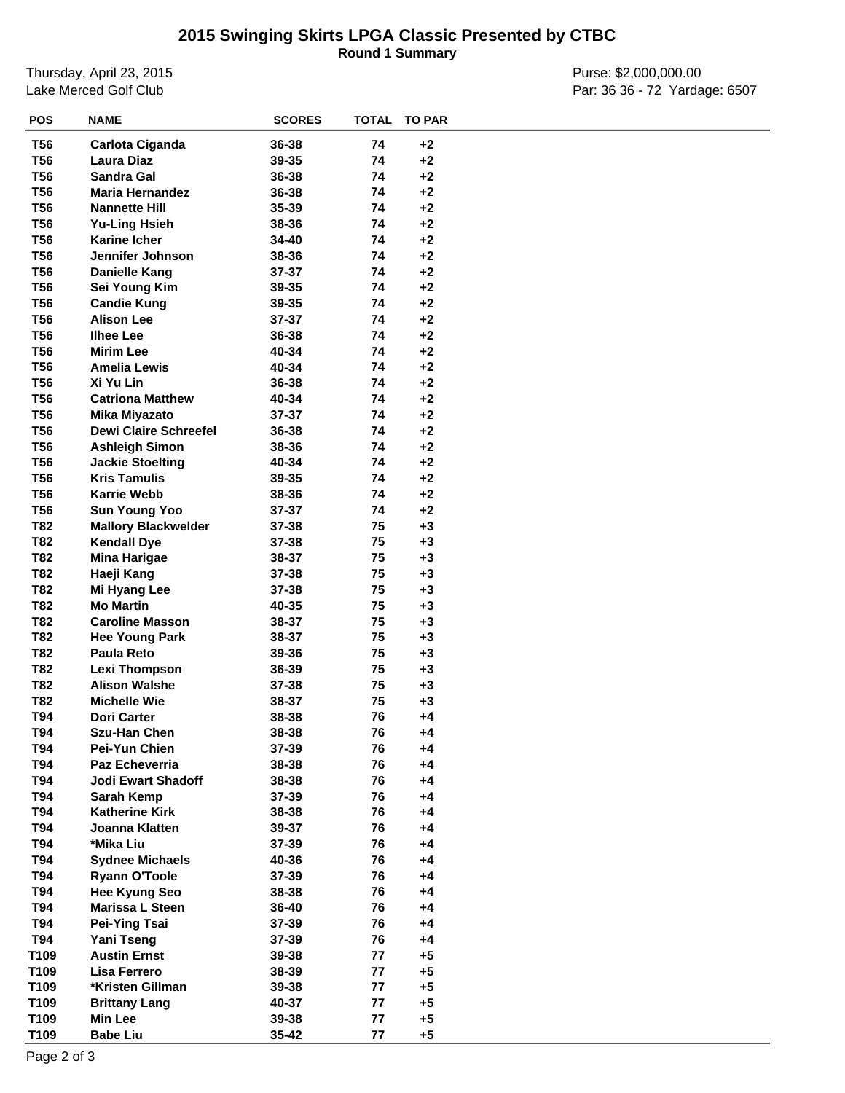**Round 1 Summary**

Thursday, April 23, 2015 Lake Merced Golf Club

Purse: \$2,000,000.00 Par: 36 36 - 72 Yardage: 6507

| <b>POS</b> | <b>NAME</b>                                        | <b>SCORES</b> | <b>TOTAL</b> | <b>TO PAR</b> |  |
|------------|----------------------------------------------------|---------------|--------------|---------------|--|
| <b>T56</b> | Carlota Ciganda                                    | 36-38         | 74           | $+2$          |  |
| <b>T56</b> | <b>Laura Diaz</b>                                  | 39-35         | 74           | $+2$          |  |
| <b>T56</b> | <b>Sandra Gal</b>                                  | 36-38         | 74           | $+2$          |  |
| <b>T56</b> | <b>Maria Hernandez</b>                             | 36-38         | 74           | $+2$          |  |
| <b>T56</b> | <b>Nannette Hill</b>                               | 35-39         | 74           | $+2$          |  |
| <b>T56</b> | <b>Yu-Ling Hsieh</b>                               | 38-36         | 74           | $+2$          |  |
| <b>T56</b> | <b>Karine Icher</b>                                | 34-40         | 74           | $+2$          |  |
| <b>T56</b> | Jennifer Johnson                                   | 38-36         | 74           | $+2$          |  |
| <b>T56</b> | <b>Danielle Kang</b>                               | 37-37         | 74           | $+2$          |  |
| <b>T56</b> | Sei Young Kim                                      | 39-35         | 74           | $+2$          |  |
| <b>T56</b> | <b>Candie Kung</b>                                 | 39-35         | 74           | $+2$          |  |
| <b>T56</b> | <b>Alison Lee</b>                                  | 37-37         | 74           | $+2$          |  |
| <b>T56</b> | <b>Ilhee Lee</b>                                   | 36-38         | 74           | $+2$          |  |
| <b>T56</b> | <b>Mirim Lee</b>                                   | 40-34         | 74           | $+2$          |  |
| <b>T56</b> | <b>Amelia Lewis</b>                                | 40-34         | 74           | $+2$          |  |
| <b>T56</b> | Xi Yu Lin                                          | 36-38         | 74           | $+2$          |  |
| <b>T56</b> | <b>Catriona Matthew</b>                            | 40-34         | 74           | $+2$          |  |
| <b>T56</b> | <b>Mika Miyazato</b>                               | 37-37         | 74           | $+2$          |  |
| <b>T56</b> | <b>Dewi Claire Schreefel</b>                       | 36-38         | 74           | $+2$          |  |
| <b>T56</b> | <b>Ashleigh Simon</b>                              | 38-36         | 74           | $+2$          |  |
| <b>T56</b> | <b>Jackie Stoelting</b>                            | 40-34         | 74           | $+2$          |  |
| <b>T56</b> | <b>Kris Tamulis</b>                                | 39-35         | 74           | $+2$          |  |
| <b>T56</b> | <b>Karrie Webb</b>                                 | 38-36         | 74           | $+2$          |  |
| <b>T56</b> |                                                    | 37-37         | 74           | $+2$          |  |
| T82        | <b>Sun Young Yoo</b><br><b>Mallory Blackwelder</b> | 37-38         | 75           | $+3$          |  |
| T82        |                                                    | 37-38         | 75           | $+3$          |  |
|            | <b>Kendall Dye</b>                                 |               |              |               |  |
| T82<br>T82 | <b>Mina Harigae</b>                                | 38-37         | 75<br>75     | $+3$<br>$+3$  |  |
|            | Haeji Kang                                         | 37-38         |              |               |  |
| T82        | Mi Hyang Lee<br><b>Mo Martin</b>                   | 37-38         | 75<br>75     | $+3$          |  |
| T82        |                                                    | 40-35         |              | $+3$          |  |
| T82        | <b>Caroline Masson</b>                             | 38-37         | 75           | $+3$<br>$+3$  |  |
| T82        | <b>Hee Young Park</b>                              | 38-37         | 75           |               |  |
| T82        | <b>Paula Reto</b>                                  | 39-36         | 75           | $+3$          |  |
| T82        | <b>Lexi Thompson</b>                               | 36-39         | 75           | $+3$          |  |
| T82        | <b>Alison Walshe</b>                               | 37-38         | 75           | $+3$          |  |
| T82        | <b>Michelle Wie</b>                                | 38-37         | 75           | $+3$          |  |
| T94        | <b>Dori Carter</b>                                 | 38-38         | 76           | $+4$          |  |
| T94        | <b>Szu-Han Chen</b>                                | 38-38         | 76           | $+4$          |  |
| T94        | Pei-Yun Chien                                      | 37-39         | 76           | $+4$          |  |
| <b>T94</b> | <b>Paz Echeverria</b>                              | 38-38         | 76           | $+4$          |  |
| T94        | <b>Jodi Ewart Shadoff</b>                          | 38-38         | 76           | $+4$          |  |
| T94        | Sarah Kemp                                         | 37-39         | 76           | +4            |  |
| T94        | <b>Katherine Kirk</b>                              | 38-38         | 76           | $+4$          |  |
| T94        | Joanna Klatten                                     | 39-37         | 76           | +4            |  |
| T94        | *Mika Liu                                          | 37-39         | 76           | $+4$          |  |
| T94        | <b>Sydnee Michaels</b>                             | 40-36         | 76           | $+4$          |  |
| T94        | <b>Ryann O'Toole</b>                               | 37-39         | 76           | +4            |  |
| T94        | <b>Hee Kyung Seo</b>                               | 38-38         | 76           | $+4$          |  |
| T94        | Marissa L Steen                                    | 36-40         | 76           | +4            |  |
| T94        | <b>Pei-Ying Tsai</b>                               | 37-39         | 76           | $+4$          |  |
| T94        | <b>Yani Tseng</b>                                  | 37-39         | 76           | $+4$          |  |
| T109       | <b>Austin Ernst</b>                                | 39-38         | 77           | $+5$          |  |
| T109       | <b>Lisa Ferrero</b>                                | 38-39         | 77           | $+5$          |  |
| T109       | *Kristen Gillman                                   | 39-38         | 77           | $+5$          |  |
| T109       | <b>Brittany Lang</b>                               | 40-37         | 77           | $+5$          |  |
| T109       | <b>Min Lee</b>                                     | 39-38         | 77           | $+5$          |  |
| T109       | <b>Babe Liu</b>                                    | 35-42         | 77           | $+5$          |  |